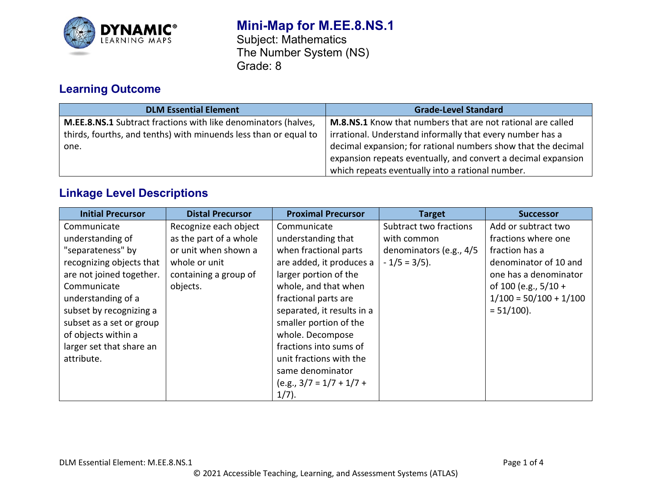

# **Mini-Map for M.EE.8.NS.1** Subject: Mathematics

The Number System (NS) Grade: 8

# **Learning Outcome**

| <b>DLM Essential Element</b>                                          | <b>Grade-Level Standard</b>                                   |
|-----------------------------------------------------------------------|---------------------------------------------------------------|
| <b>M.EE.8.NS.1</b> Subtract fractions with like denominators (halves, | M.8.NS.1 Know that numbers that are not rational are called   |
| thirds, fourths, and tenths) with minuends less than or equal to      | irrational. Understand informally that every number has a     |
| one.                                                                  | decimal expansion; for rational numbers show that the decimal |
|                                                                       | expansion repeats eventually, and convert a decimal expansion |
|                                                                       | which repeats eventually into a rational number.              |

## **Linkage Level Descriptions**

| <b>Initial Precursor</b> | <b>Distal Precursor</b> | <b>Proximal Precursor</b>  | <b>Target</b>           | <b>Successor</b>         |
|--------------------------|-------------------------|----------------------------|-------------------------|--------------------------|
| Communicate              | Recognize each object   | Communicate                | Subtract two fractions  | Add or subtract two      |
| understanding of         | as the part of a whole  | understanding that         | with common             | fractions where one      |
| "separateness" by        | or unit when shown a    | when fractional parts      | denominators (e.g., 4/5 | fraction has a           |
| recognizing objects that | whole or unit           | are added, it produces a   | $-1/5 = 3/5$ ).         | denominator of 10 and    |
| are not joined together. | containing a group of   | larger portion of the      |                         | one has a denominator    |
| Communicate              | objects.                | whole, and that when       |                         | of 100 (e.g., $5/10 +$   |
| understanding of a       |                         | fractional parts are       |                         | $1/100 = 50/100 + 1/100$ |
| subset by recognizing a  |                         | separated, it results in a |                         | $= 51/100$ ).            |
| subset as a set or group |                         | smaller portion of the     |                         |                          |
| of objects within a      |                         | whole. Decompose           |                         |                          |
| larger set that share an |                         | fractions into sums of     |                         |                          |
| attribute.               |                         | unit fractions with the    |                         |                          |
|                          |                         | same denominator           |                         |                          |
|                          |                         | $(e.g., 3/7 = 1/7 + 1/7 +$ |                         |                          |
|                          |                         | $1/7$ ).                   |                         |                          |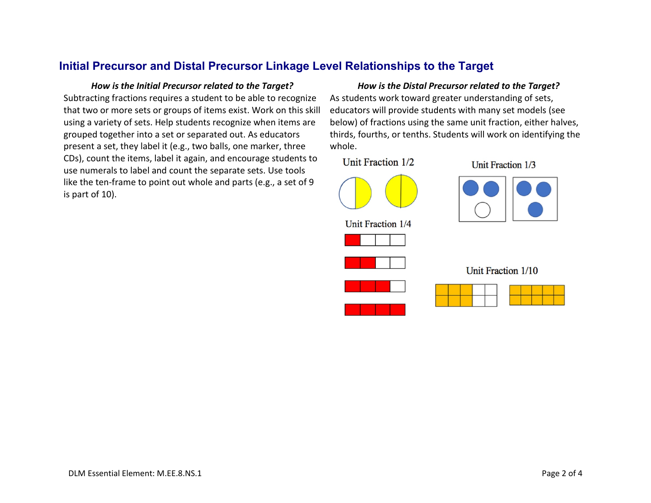## **Initial Precursor and Distal Precursor Linkage Level Relationships to the Target**

Subtracting fractions requires a student to be able to recognize that two or more sets or groups of items exist. Work on this skill using a variety of sets. Help students recognize when items are grouped together into a set or separated out. As educators present a set, they label it (e.g., two balls, one marker, three CDs), count the items, label it again, and encourage students to use numerals to label and count the separate sets. Use tools like the ten-frame to point out whole and parts (e.g., a set of 9 is part of 10).

### *How is the Initial Precursor related to the Target? How is the Distal Precursor related to the Target?*

As students work toward greater understanding of sets, educators will provide students with many set models (see below) of fractions using the same unit fraction, either halves, thirds, fourths, or tenths. Students will work on identifying the whole.

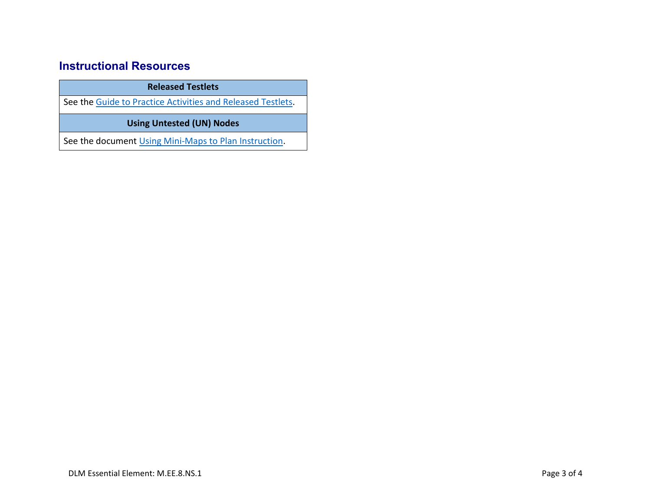## **Instructional Resources**

**Released Testlets**

See the [Guide to Practice Activities and Released Testlets.](https://dynamiclearningmaps.org/sites/default/files/documents/Manuals_Blueprints/Guide_to_Practice_Activities_and_Released_Testlets.pdf)

**Using Untested (UN) Nodes**

See the document [Using Mini-Maps to Plan Instruction.](https://dynamiclearningmaps.org/sites/default/files/documents/Using_Mini_Maps_to_Plan_Instruction.pdf)